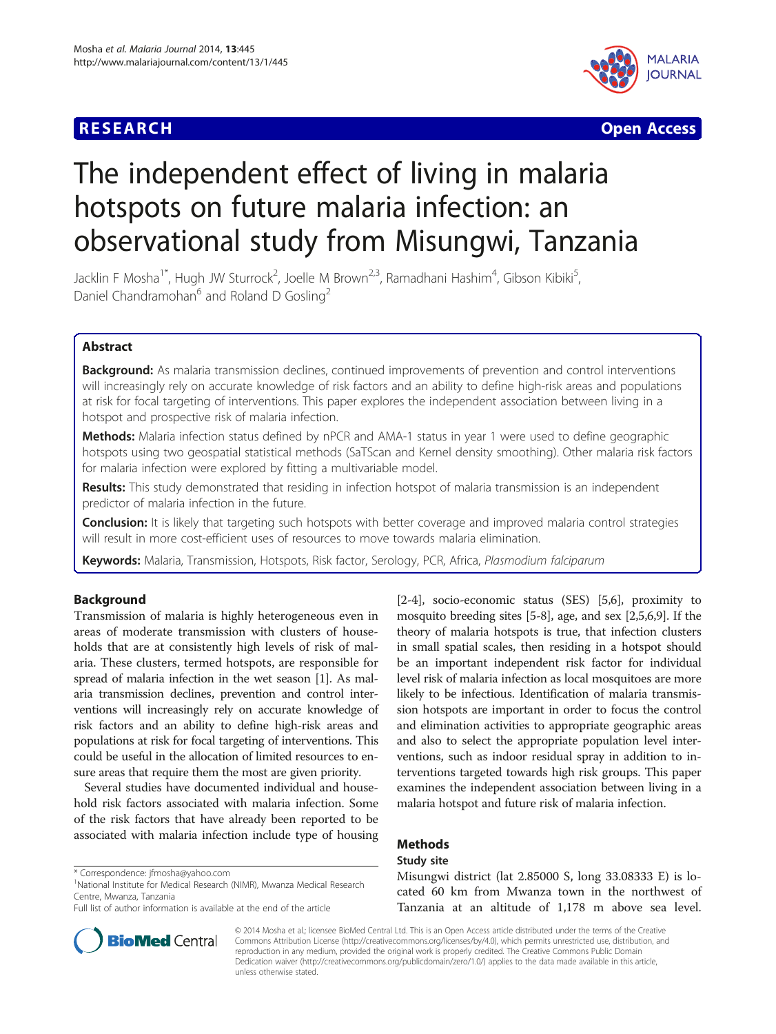# **RESEARCH CHEAR CHEAR CHEAR CHEAR CHEAR CHEAR CHEAR CHEAR CHEAR CHEAR CHEAR CHEAR CHEAR CHEAR CHEAR CHEAR CHEAR**



# The independent effect of living in malaria hotspots on future malaria infection: an observational study from Misungwi, Tanzania

Jacklin F Mosha<sup>1\*</sup>, Hugh JW Sturrock<sup>2</sup>, Joelle M Brown<sup>2,3</sup>, Ramadhani Hashim<sup>4</sup>, Gibson Kibiki<sup>5</sup> , Daniel Chandramohan<sup>6</sup> and Roland D Gosling<sup>2</sup>

# Abstract

Background: As malaria transmission declines, continued improvements of prevention and control interventions will increasingly rely on accurate knowledge of risk factors and an ability to define high-risk areas and populations at risk for focal targeting of interventions. This paper explores the independent association between living in a hotspot and prospective risk of malaria infection.

**Methods:** Malaria infection status defined by nPCR and AMA-1 status in year 1 were used to define geographic hotspots using two geospatial statistical methods (SaTScan and Kernel density smoothing). Other malaria risk factors for malaria infection were explored by fitting a multivariable model.

Results: This study demonstrated that residing in infection hotspot of malaria transmission is an independent predictor of malaria infection in the future.

**Conclusion:** It is likely that targeting such hotspots with better coverage and improved malaria control strategies will result in more cost-efficient uses of resources to move towards malaria elimination.

Keywords: Malaria, Transmission, Hotspots, Risk factor, Serology, PCR, Africa, Plasmodium falciparum

# Background

Transmission of malaria is highly heterogeneous even in areas of moderate transmission with clusters of households that are at consistently high levels of risk of malaria. These clusters, termed hotspots, are responsible for spread of malaria infection in the wet season [\[1\]](#page-6-0). As malaria transmission declines, prevention and control interventions will increasingly rely on accurate knowledge of risk factors and an ability to define high-risk areas and populations at risk for focal targeting of interventions. This could be useful in the allocation of limited resources to ensure areas that require them the most are given priority.

Several studies have documented individual and household risk factors associated with malaria infection. Some of the risk factors that have already been reported to be associated with malaria infection include type of housing



# Methods

# Study site

Misungwi district (lat 2.85000 S, long 33.08333 E) is located 60 km from Mwanza town in the northwest of Tanzania at an altitude of 1,178 m above sea level.



© 2014 Mosha et al.; licensee BioMed Central Ltd. This is an Open Access article distributed under the terms of the Creative Commons Attribution License [\(http://creativecommons.org/licenses/by/4.0\)](http://creativecommons.org/licenses/by/4.0), which permits unrestricted use, distribution, and reproduction in any medium, provided the original work is properly credited. The Creative Commons Public Domain Dedication waiver [\(http://creativecommons.org/publicdomain/zero/1.0/](http://creativecommons.org/publicdomain/zero/1.0/)) applies to the data made available in this article, unless otherwise stated.

<sup>\*</sup> Correspondence: [jfmosha@yahoo.com](mailto:jfmosha@yahoo.com) <sup>1</sup>

<sup>&</sup>lt;sup>1</sup>National Institute for Medical Research (NIMR), Mwanza Medical Research Centre, Mwanza, Tanzania

Full list of author information is available at the end of the article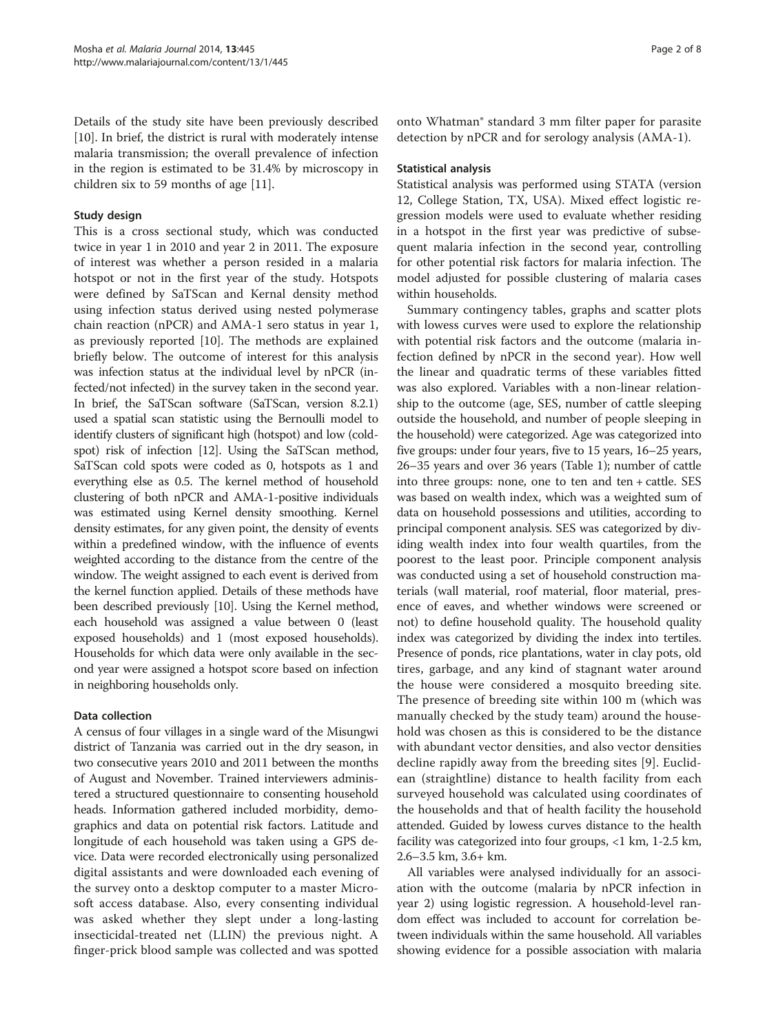Details of the study site have been previously described [[10\]](#page-6-0). In brief, the district is rural with moderately intense malaria transmission; the overall prevalence of infection in the region is estimated to be 31.4% by microscopy in children six to 59 months of age [[11\]](#page-6-0).

#### Study design

This is a cross sectional study, which was conducted twice in year 1 in 2010 and year 2 in 2011. The exposure of interest was whether a person resided in a malaria hotspot or not in the first year of the study. Hotspots were defined by SaTScan and Kernal density method using infection status derived using nested polymerase chain reaction (nPCR) and AMA-1 sero status in year 1, as previously reported [[10](#page-6-0)]. The methods are explained briefly below. The outcome of interest for this analysis was infection status at the individual level by nPCR (infected/not infected) in the survey taken in the second year. In brief, the SaTScan software (SaTScan, version 8.2.1) used a spatial scan statistic using the Bernoulli model to identify clusters of significant high (hotspot) and low (coldspot) risk of infection [\[12\]](#page-6-0). Using the SaTScan method, SaTScan cold spots were coded as 0, hotspots as 1 and everything else as 0.5. The kernel method of household clustering of both nPCR and AMA-1-positive individuals was estimated using Kernel density smoothing. Kernel density estimates, for any given point, the density of events within a predefined window, with the influence of events weighted according to the distance from the centre of the window. The weight assigned to each event is derived from the kernel function applied. Details of these methods have been described previously [\[10\]](#page-6-0). Using the Kernel method, each household was assigned a value between 0 (least exposed households) and 1 (most exposed households). Households for which data were only available in the second year were assigned a hotspot score based on infection in neighboring households only.

#### Data collection

A census of four villages in a single ward of the Misungwi district of Tanzania was carried out in the dry season, in two consecutive years 2010 and 2011 between the months of August and November. Trained interviewers administered a structured questionnaire to consenting household heads. Information gathered included morbidity, demographics and data on potential risk factors. Latitude and longitude of each household was taken using a GPS device. Data were recorded electronically using personalized digital assistants and were downloaded each evening of the survey onto a desktop computer to a master Microsoft access database. Also, every consenting individual was asked whether they slept under a long-lasting insecticidal-treated net (LLIN) the previous night. A finger-prick blood sample was collected and was spotted

onto Whatman® standard 3 mm filter paper for parasite detection by nPCR and for serology analysis (AMA-1).

#### Statistical analysis

Statistical analysis was performed using STATA (version 12, College Station, TX, USA). Mixed effect logistic regression models were used to evaluate whether residing in a hotspot in the first year was predictive of subsequent malaria infection in the second year, controlling for other potential risk factors for malaria infection. The model adjusted for possible clustering of malaria cases within households.

Summary contingency tables, graphs and scatter plots with lowess curves were used to explore the relationship with potential risk factors and the outcome (malaria infection defined by nPCR in the second year). How well the linear and quadratic terms of these variables fitted was also explored. Variables with a non-linear relationship to the outcome (age, SES, number of cattle sleeping outside the household, and number of people sleeping in the household) were categorized. Age was categorized into five groups: under four years, five to 15 years, 16–25 years, 26–35 years and over 36 years (Table [1](#page-2-0)); number of cattle into three groups: none, one to ten and ten + cattle. SES was based on wealth index, which was a weighted sum of data on household possessions and utilities, according to principal component analysis. SES was categorized by dividing wealth index into four wealth quartiles, from the poorest to the least poor. Principle component analysis was conducted using a set of household construction materials (wall material, roof material, floor material, presence of eaves, and whether windows were screened or not) to define household quality. The household quality index was categorized by dividing the index into tertiles. Presence of ponds, rice plantations, water in clay pots, old tires, garbage, and any kind of stagnant water around the house were considered a mosquito breeding site. The presence of breeding site within 100 m (which was manually checked by the study team) around the household was chosen as this is considered to be the distance with abundant vector densities, and also vector densities decline rapidly away from the breeding sites [\[9](#page-6-0)]. Euclidean (straightline) distance to health facility from each surveyed household was calculated using coordinates of the households and that of health facility the household attended. Guided by lowess curves distance to the health facility was categorized into four groups, <1 km, 1-2.5 km, 2.6–3.5 km, 3.6+ km.

All variables were analysed individually for an association with the outcome (malaria by nPCR infection in year 2) using logistic regression. A household-level random effect was included to account for correlation between individuals within the same household. All variables showing evidence for a possible association with malaria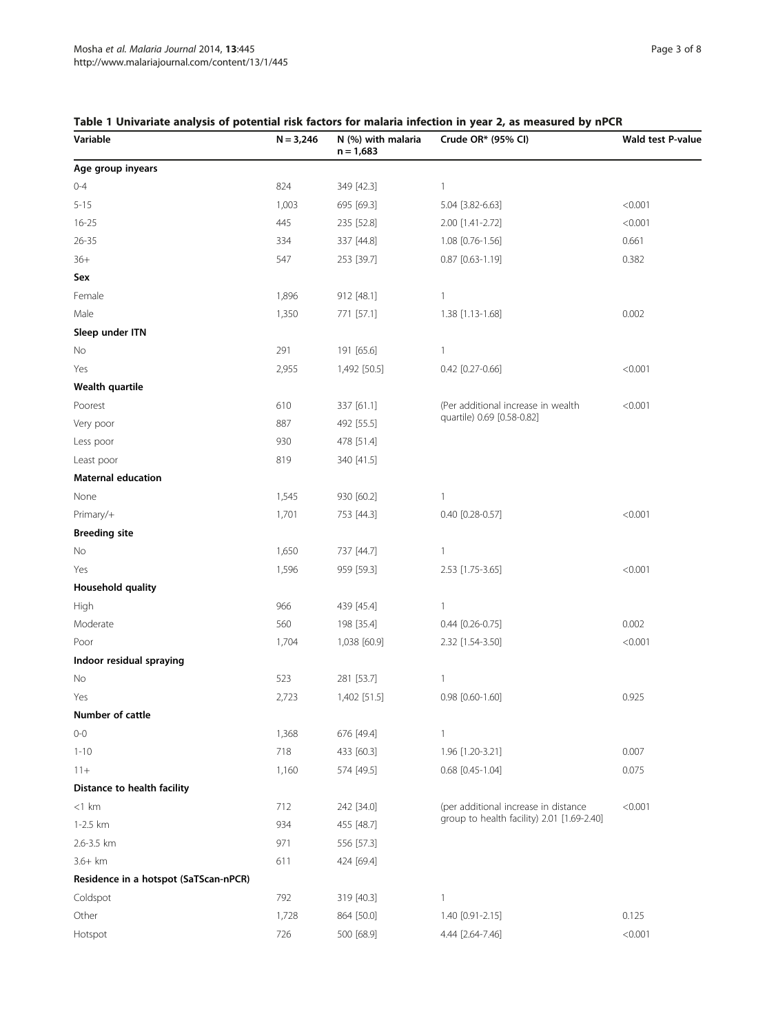# <span id="page-2-0"></span>Table 1 Univariate analysis of potential risk factors for malaria infection in year 2, as measured by nPCR

| Variable                              | $N = 3,246$ | N (%) with malaria<br>$n = 1,683$ | Crude OR* (95% CI)                         | Wald test P-value |
|---------------------------------------|-------------|-----------------------------------|--------------------------------------------|-------------------|
| Age group inyears                     |             |                                   |                                            |                   |
| $0 - 4$                               | 824         | 349 [42.3]                        | 1                                          |                   |
| $5 - 15$                              | 1,003       | 695 [69.3]                        | 5.04 [3.82-6.63]                           | < 0.001           |
| $16 - 25$                             | 445         | 235 [52.8]                        | 2.00 [1.41-2.72]                           | < 0.001           |
| $26 - 35$                             | 334         | 337 [44.8]                        | 1.08 [0.76-1.56]                           | 0.661             |
| $36+$                                 | 547         | 253 [39.7]                        | 0.87 [0.63-1.19]                           | 0.382             |
| Sex                                   |             |                                   |                                            |                   |
| Female                                | 1,896       | 912 [48.1]                        | 1                                          |                   |
| Male                                  | 1,350       | 771 [57.1]                        | 1.38 [1.13-1.68]                           | 0.002             |
| Sleep under ITN                       |             |                                   |                                            |                   |
| No                                    | 291         | 191 [65.6]                        | $\mathbf{1}$                               |                   |
| Yes                                   | 2,955       | 1,492 [50.5]                      | 0.42 [0.27-0.66]                           | < 0.001           |
| Wealth quartile                       |             |                                   |                                            |                   |
| Poorest                               | 610         | 337 [61.1]                        | (Per additional increase in wealth         | < 0.001           |
| Very poor                             | 887         | 492 [55.5]                        | quartile) 0.69 [0.58-0.82]                 |                   |
| Less poor                             | 930         | 478 [51.4]                        |                                            |                   |
| Least poor                            | 819         | 340 [41.5]                        |                                            |                   |
| <b>Maternal education</b>             |             |                                   |                                            |                   |
| None                                  | 1,545       | 930 [60.2]                        | $\mathbf{1}$                               |                   |
| Primary/+                             | 1,701       | 753 [44.3]                        | 0.40 [0.28-0.57]                           | < 0.001           |
| <b>Breeding site</b>                  |             |                                   |                                            |                   |
| No                                    | 1,650       | 737 [44.7]                        | 1                                          |                   |
| Yes                                   | 1,596       | 959 [59.3]                        | 2.53 [1.75-3.65]                           | < 0.001           |
| Household quality                     |             |                                   |                                            |                   |
| High                                  | 966         | 439 [45.4]                        | $\mathbf{1}$                               |                   |
| Moderate                              | 560         | 198 [35.4]                        | 0.44 [0.26-0.75]                           | 0.002             |
| Poor                                  | 1,704       | 1,038 [60.9]                      | 2.32 [1.54-3.50]                           | < 0.001           |
| Indoor residual spraying              |             |                                   |                                            |                   |
| No                                    | 523         | 281 [53.7]                        | 1                                          |                   |
| Yes                                   | 2,723       | 1,402 [51.5]                      | 0.98 [0.60-1.60]                           | 0.925             |
| Number of cattle                      |             |                                   |                                            |                   |
| $0-0$                                 | 1,368       | 676 [49.4]                        | 1                                          |                   |
| $1 - 10$                              | 718         | 433 [60.3]                        | 1.96 [1.20-3.21]                           | 0.007             |
| $11+$                                 | 1,160       | 574 [49.5]                        | 0.68 [0.45-1.04]                           | 0.075             |
| Distance to health facility           |             |                                   |                                            |                   |
| $<$ 1 km                              | 712         | 242 [34.0]                        | (per additional increase in distance       | < 0.001           |
| 1-2.5 km                              | 934         | 455 [48.7]                        | group to health facility) 2.01 [1.69-2.40] |                   |
| 2.6-3.5 km                            | 971         | 556 [57.3]                        |                                            |                   |
| $3.6+ km$                             | 611         | 424 [69.4]                        |                                            |                   |
| Residence in a hotspot (SaTScan-nPCR) |             |                                   |                                            |                   |
| Coldspot                              | 792         | 319 [40.3]                        | 1                                          |                   |
| Other                                 | 1,728       | 864 [50.0]                        | 1.40 [0.91-2.15]                           | 0.125             |
| Hotspot                               | 726         | 500 [68.9]                        | 4.44 [2.64-7.46]                           | < 0.001           |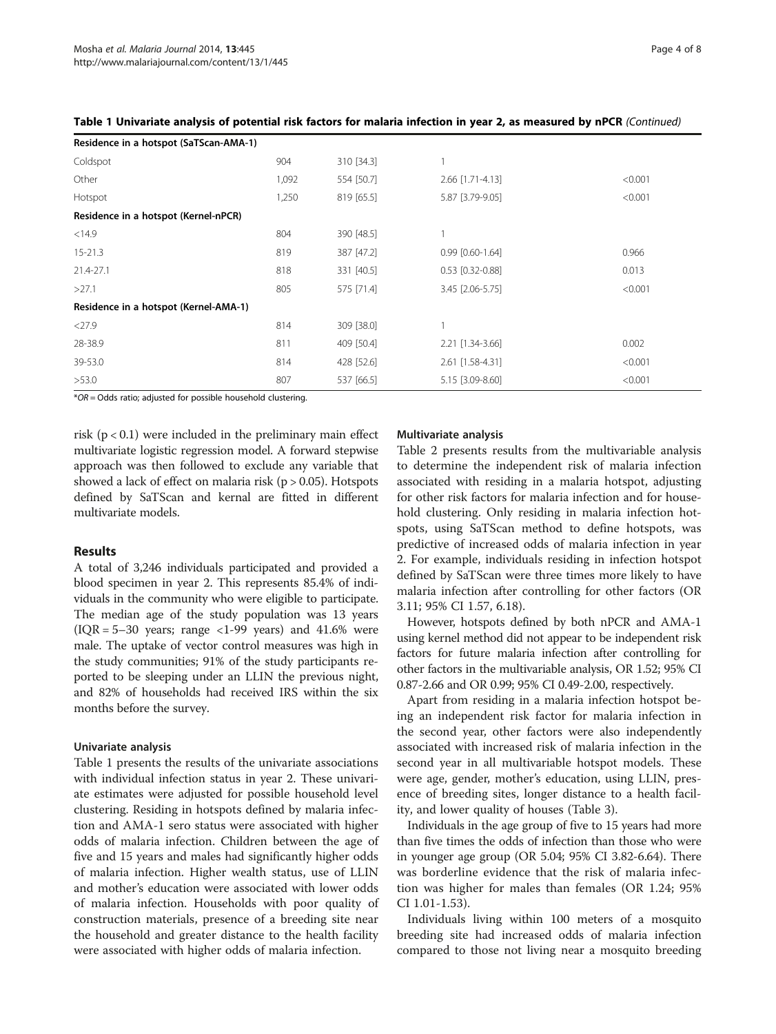| Residence in a hotspot (SaTScan-AMA-1) |       |            |                        |         |
|----------------------------------------|-------|------------|------------------------|---------|
| Coldspot                               | 904   | 310 [34.3] |                        |         |
| Other                                  | 1,092 | 554 [50.7] | 2.66 [1.71-4.13]       | < 0.001 |
| Hotspot                                | 1,250 | 819 [65.5] | 5.87 [3.79-9.05]       | < 0.001 |
| Residence in a hotspot (Kernel-nPCR)   |       |            |                        |         |
| < 14.9                                 | 804   | 390 [48.5] |                        |         |
| $15 - 21.3$                            | 819   | 387 [47.2] | $0.99$ $[0.60 - 1.64]$ | 0.966   |
| 21.4-27.1                              | 818   | 331 [40.5] | $0.53$ $[0.32 - 0.88]$ | 0.013   |
| >27.1                                  | 805   | 575 [71.4] | 3.45 [2.06-5.75]       | < 0.001 |
| Residence in a hotspot (Kernel-AMA-1)  |       |            |                        |         |
| <27.9                                  | 814   | 309 [38.0] |                        |         |
| 28-38.9                                | 811   | 409 [50.4] | 2.21 [1.34-3.66]       | 0.002   |
| 39-53.0                                | 814   | 428 [52.6] | 2.61 [1.58-4.31]       | < 0.001 |
| >53.0                                  | 807   | 537 [66.5] | 5.15 [3.09-8.60]       | < 0.001 |

|  | Table 1 Univariate analysis of potential risk factors for malaria infection in year 2, as measured by nPCR (Continued) |  |  |  |
|--|------------------------------------------------------------------------------------------------------------------------|--|--|--|
|--|------------------------------------------------------------------------------------------------------------------------|--|--|--|

 $*OR =$  Odds ratio; adjusted for possible household clustering.

risk ( $p < 0.1$ ) were included in the preliminary main effect multivariate logistic regression model. A forward stepwise approach was then followed to exclude any variable that showed a lack of effect on malaria risk ( $p > 0.05$ ). Hotspots defined by SaTScan and kernal are fitted in different multivariate models.

# Results

A total of 3,246 individuals participated and provided a blood specimen in year 2. This represents 85.4% of individuals in the community who were eligible to participate. The median age of the study population was 13 years  $(IQR = 5-30$  years; range <1-99 years) and 41.6% were male. The uptake of vector control measures was high in the study communities; 91% of the study participants reported to be sleeping under an LLIN the previous night, and 82% of households had received IRS within the six months before the survey.

#### Univariate analysis

Table [1](#page-2-0) presents the results of the univariate associations with individual infection status in year 2. These univariate estimates were adjusted for possible household level clustering. Residing in hotspots defined by malaria infection and AMA-1 sero status were associated with higher odds of malaria infection. Children between the age of five and 15 years and males had significantly higher odds of malaria infection. Higher wealth status, use of LLIN and mother's education were associated with lower odds of malaria infection. Households with poor quality of construction materials, presence of a breeding site near the household and greater distance to the health facility were associated with higher odds of malaria infection.

#### Multivariate analysis

Table [2](#page-4-0) presents results from the multivariable analysis to determine the independent risk of malaria infection associated with residing in a malaria hotspot, adjusting for other risk factors for malaria infection and for household clustering. Only residing in malaria infection hotspots, using SaTScan method to define hotspots, was predictive of increased odds of malaria infection in year 2. For example, individuals residing in infection hotspot defined by SaTScan were three times more likely to have malaria infection after controlling for other factors (OR 3.11; 95% CI 1.57, 6.18).

However, hotspots defined by both nPCR and AMA-1 using kernel method did not appear to be independent risk factors for future malaria infection after controlling for other factors in the multivariable analysis, OR 1.52; 95% CI 0.87-2.66 and OR 0.99; 95% CI 0.49-2.00, respectively.

Apart from residing in a malaria infection hotspot being an independent risk factor for malaria infection in the second year, other factors were also independently associated with increased risk of malaria infection in the second year in all multivariable hotspot models. These were age, gender, mother's education, using LLIN, presence of breeding sites, longer distance to a health facility, and lower quality of houses (Table [3\)](#page-4-0).

Individuals in the age group of five to 15 years had more than five times the odds of infection than those who were in younger age group (OR 5.04; 95% CI 3.82-6.64). There was borderline evidence that the risk of malaria infection was higher for males than females (OR 1.24; 95% CI 1.01-1.53).

Individuals living within 100 meters of a mosquito breeding site had increased odds of malaria infection compared to those not living near a mosquito breeding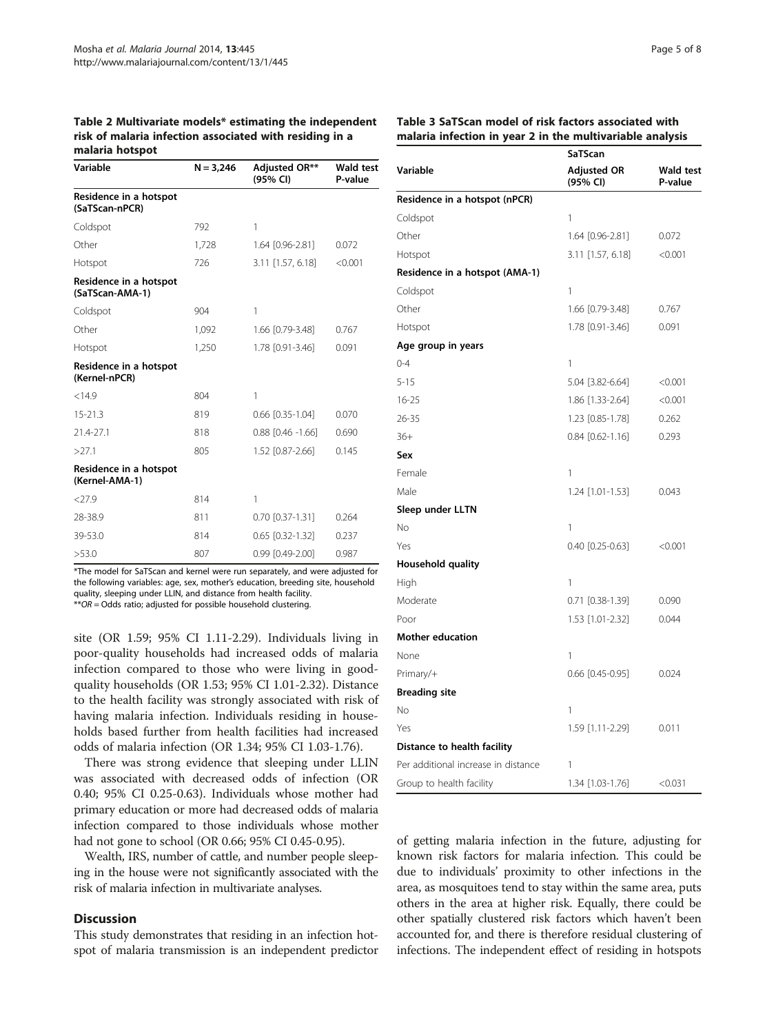<span id="page-4-0"></span>Table 2 Multivariate models\* estimating the independent risk of malaria infection associated with residing in a malaria hotspot

| <b>IIIUIUIIU IIVWPV</b>                   |             |                           |                             |
|-------------------------------------------|-------------|---------------------------|-----------------------------|
| Variable                                  | $N = 3,246$ | Adjusted OR**<br>(95% CI) | <b>Wald test</b><br>P-value |
| Residence in a hotspot<br>(SaTScan-nPCR)  |             |                           |                             |
| Coldspot                                  | 792         | 1                         |                             |
| Other                                     | 1,728       | 1.64 [0.96-2.81]          | 0.072                       |
| Hotspot                                   | 726         | 3.11 [1.57, 6.18]         | < 0.001                     |
| Residence in a hotspot<br>(SaTScan-AMA-1) |             |                           |                             |
| Coldspot                                  | 904         | $\mathbf{1}$              |                             |
| Other                                     | 1,092       | 1.66 [0.79-3.48]          | 0.767                       |
| Hotspot                                   | 1,250       | 1.78 [0.91-3.46]          | 0.091                       |
| Residence in a hotspot<br>(Kernel-nPCR)   |             |                           |                             |
| < 14.9                                    | 804         | 1                         |                             |
| $15 - 21.3$                               | 819         | 0.66 [0.35-1.04]          | 0.070                       |
| 21.4-27.1                                 | 818         | $0.88$ $[0.46 -1.66]$     | 0.690                       |
| >27.1                                     | 805         | 1.52 [0.87-2.66]          | 0.145                       |
| Residence in a hotspot<br>(Kernel-AMA-1)  |             |                           |                             |
| $<$ 27.9                                  | 814         | 1                         |                             |
| 28-38.9                                   | 811         | $0.70$ $[0.37 - 1.31]$    | 0.264                       |
| 39-53.0                                   | 814         | 0.65 [0.32-1.32]          | 0.237                       |
| >53.0                                     | 807         | 0.99 [0.49-2.00]          | 0.987                       |

\*The model for SaTScan and kernel were run separately, and were adjusted for the following variables: age, sex, mother's education, breeding site, household quality, sleeping under LLIN, and distance from health facility. \*\*OR = Odds ratio; adjusted for possible household clustering.

site (OR 1.59; 95% CI 1.11-2.29). Individuals living in poor-quality households had increased odds of malaria infection compared to those who were living in goodquality households (OR 1.53; 95% CI 1.01-2.32). Distance to the health facility was strongly associated with risk of having malaria infection. Individuals residing in households based further from health facilities had increased odds of malaria infection (OR 1.34; 95% CI 1.03-1.76).

There was strong evidence that sleeping under LLIN was associated with decreased odds of infection (OR 0.40; 95% CI 0.25-0.63). Individuals whose mother had primary education or more had decreased odds of malaria infection compared to those individuals whose mother had not gone to school (OR 0.66; 95% CI 0.45-0.95).

Wealth, IRS, number of cattle, and number people sleeping in the house were not significantly associated with the risk of malaria infection in multivariate analyses.

#### **Discussion**

This study demonstrates that residing in an infection hotspot of malaria transmission is an independent predictor

| Table 3 SaTScan model of risk factors associated with     |
|-----------------------------------------------------------|
| malaria infection in year 2 in the multivariable analysis |

|                                     | SaTScan                        |                      |
|-------------------------------------|--------------------------------|----------------------|
| Variable                            | <b>Adjusted OR</b><br>(95% CI) | Wald test<br>P-value |
| Residence in a hotspot (nPCR)       |                                |                      |
| Coldspot                            | 1                              |                      |
| Other                               | 1.64 [0.96-2.81]               | 0.072                |
| Hotspot                             | 3.11 [1.57, 6.18]              | < 0.001              |
| Residence in a hotspot (AMA-1)      |                                |                      |
| Coldspot                            | 1                              |                      |
| Other                               | 1.66 [0.79-3.48]               | 0.767                |
| Hotspot                             | 1.78 [0.91-3.46]               | 0.091                |
| Age group in years                  |                                |                      |
| $0 - 4$                             | 1                              |                      |
| 5-15                                | 5.04 [3.82-6.64]               | < 0.001              |
| 16-25                               | 1.86 [1.33-2.64]               | < 0.001              |
| 26-35                               | 1.23 [0.85-1.78]               | 0.262                |
| $36+$                               | $0.84$ $[0.62 - 1.16]$         | 0.293                |
| Sex                                 |                                |                      |
| Female                              | 1                              |                      |
| Male                                | 1.24 [1.01-1.53]               | 0.043                |
| Sleep under LLTN                    |                                |                      |
| No                                  | 1                              |                      |
| Yes                                 | $0.40$ $[0.25 - 0.63]$         | < 0.001              |
| Household quality                   |                                |                      |
| High                                | 1                              |                      |
| Moderate                            | 0.71 [0.38-1.39]               | 0.090                |
| Poor                                | 1.53 [1.01-2.32]               | 0.044                |
| <b>Mother education</b>             |                                |                      |
| None                                | 1                              |                      |
| Primary/+                           | $0.66$ [0.45-0.95]             | 0.024                |
| <b>Breading site</b>                |                                |                      |
| Νo                                  | 1                              |                      |
| Yes                                 | 1.59 [1.11-2.29]               | 0.011                |
| Distance to health facility         |                                |                      |
| Per additional increase in distance | 1                              |                      |
| Group to health facility            | 1.34 [1.03-1.76]               | < 0.031              |

of getting malaria infection in the future, adjusting for known risk factors for malaria infection. This could be due to individuals' proximity to other infections in the area, as mosquitoes tend to stay within the same area, puts others in the area at higher risk. Equally, there could be other spatially clustered risk factors which haven't been accounted for, and there is therefore residual clustering of infections. The independent effect of residing in hotspots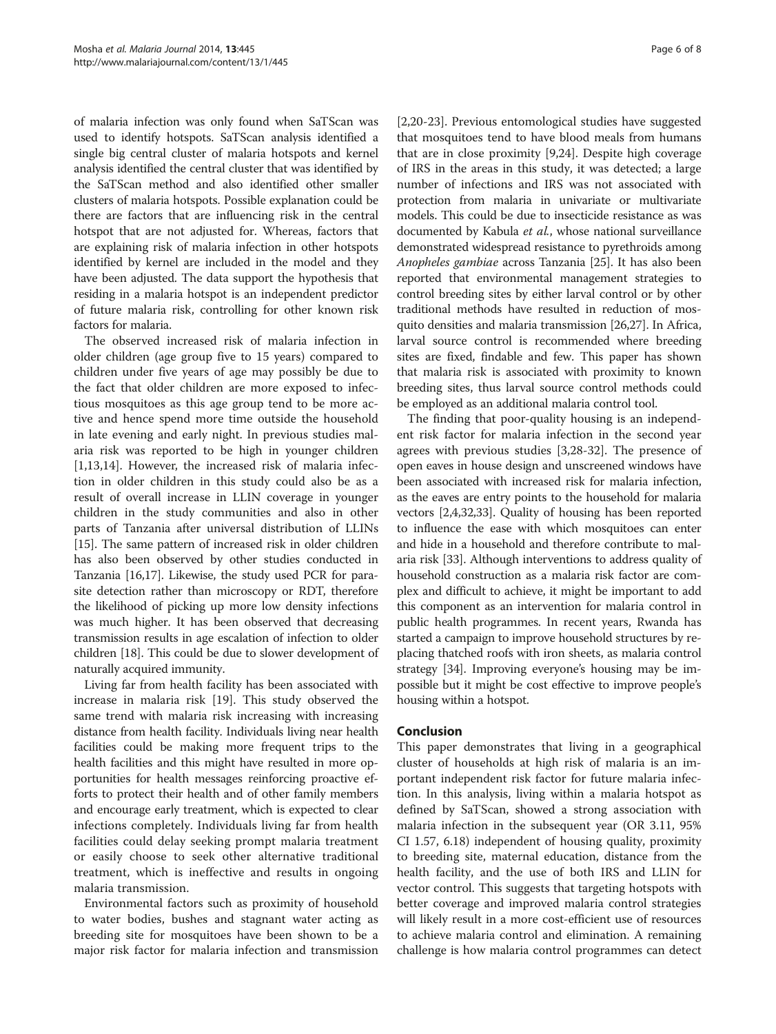of malaria infection was only found when SaTScan was used to identify hotspots. SaTScan analysis identified a single big central cluster of malaria hotspots and kernel analysis identified the central cluster that was identified by the SaTScan method and also identified other smaller clusters of malaria hotspots. Possible explanation could be there are factors that are influencing risk in the central hotspot that are not adjusted for. Whereas, factors that are explaining risk of malaria infection in other hotspots identified by kernel are included in the model and they have been adjusted. The data support the hypothesis that residing in a malaria hotspot is an independent predictor of future malaria risk, controlling for other known risk factors for malaria.

The observed increased risk of malaria infection in older children (age group five to 15 years) compared to children under five years of age may possibly be due to the fact that older children are more exposed to infectious mosquitoes as this age group tend to be more active and hence spend more time outside the household in late evening and early night. In previous studies malaria risk was reported to be high in younger children [[1,13,14\]](#page-6-0). However, the increased risk of malaria infection in older children in this study could also be as a result of overall increase in LLIN coverage in younger children in the study communities and also in other parts of Tanzania after universal distribution of LLINs [[15](#page-6-0)]. The same pattern of increased risk in older children has also been observed by other studies conducted in Tanzania [\[16,17\]](#page-6-0). Likewise, the study used PCR for parasite detection rather than microscopy or RDT, therefore the likelihood of picking up more low density infections was much higher. It has been observed that decreasing transmission results in age escalation of infection to older children [\[18](#page-6-0)]. This could be due to slower development of naturally acquired immunity.

Living far from health facility has been associated with increase in malaria risk [\[19\]](#page-6-0). This study observed the same trend with malaria risk increasing with increasing distance from health facility. Individuals living near health facilities could be making more frequent trips to the health facilities and this might have resulted in more opportunities for health messages reinforcing proactive efforts to protect their health and of other family members and encourage early treatment, which is expected to clear infections completely. Individuals living far from health facilities could delay seeking prompt malaria treatment or easily choose to seek other alternative traditional treatment, which is ineffective and results in ongoing malaria transmission.

Environmental factors such as proximity of household to water bodies, bushes and stagnant water acting as breeding site for mosquitoes have been shown to be a major risk factor for malaria infection and transmission

[[2,20-23](#page-6-0)]. Previous entomological studies have suggested that mosquitoes tend to have blood meals from humans that are in close proximity [[9,24\]](#page-6-0). Despite high coverage of IRS in the areas in this study, it was detected; a large number of infections and IRS was not associated with protection from malaria in univariate or multivariate models. This could be due to insecticide resistance as was documented by Kabula et al., whose national surveillance demonstrated widespread resistance to pyrethroids among Anopheles gambiae across Tanzania [\[25\]](#page-6-0). It has also been reported that environmental management strategies to control breeding sites by either larval control or by other traditional methods have resulted in reduction of mosquito densities and malaria transmission [[26,27\]](#page-6-0). In Africa, larval source control is recommended where breeding sites are fixed, findable and few. This paper has shown that malaria risk is associated with proximity to known breeding sites, thus larval source control methods could be employed as an additional malaria control tool.

The finding that poor-quality housing is an independent risk factor for malaria infection in the second year agrees with previous studies [[3,28-](#page-6-0)[32\]](#page-7-0). The presence of open eaves in house design and unscreened windows have been associated with increased risk for malaria infection, as the eaves are entry points to the household for malaria vectors [\[2,4,](#page-6-0)[32,33](#page-7-0)]. Quality of housing has been reported to influence the ease with which mosquitoes can enter and hide in a household and therefore contribute to malaria risk [[33\]](#page-7-0). Although interventions to address quality of household construction as a malaria risk factor are complex and difficult to achieve, it might be important to add this component as an intervention for malaria control in public health programmes. In recent years, Rwanda has started a campaign to improve household structures by replacing thatched roofs with iron sheets, as malaria control strategy [\[34\]](#page-7-0). Improving everyone's housing may be impossible but it might be cost effective to improve people's housing within a hotspot.

# Conclusion

This paper demonstrates that living in a geographical cluster of households at high risk of malaria is an important independent risk factor for future malaria infection. In this analysis, living within a malaria hotspot as defined by SaTScan, showed a strong association with malaria infection in the subsequent year (OR 3.11, 95% CI 1.57, 6.18) independent of housing quality, proximity to breeding site, maternal education, distance from the health facility, and the use of both IRS and LLIN for vector control. This suggests that targeting hotspots with better coverage and improved malaria control strategies will likely result in a more cost-efficient use of resources to achieve malaria control and elimination. A remaining challenge is how malaria control programmes can detect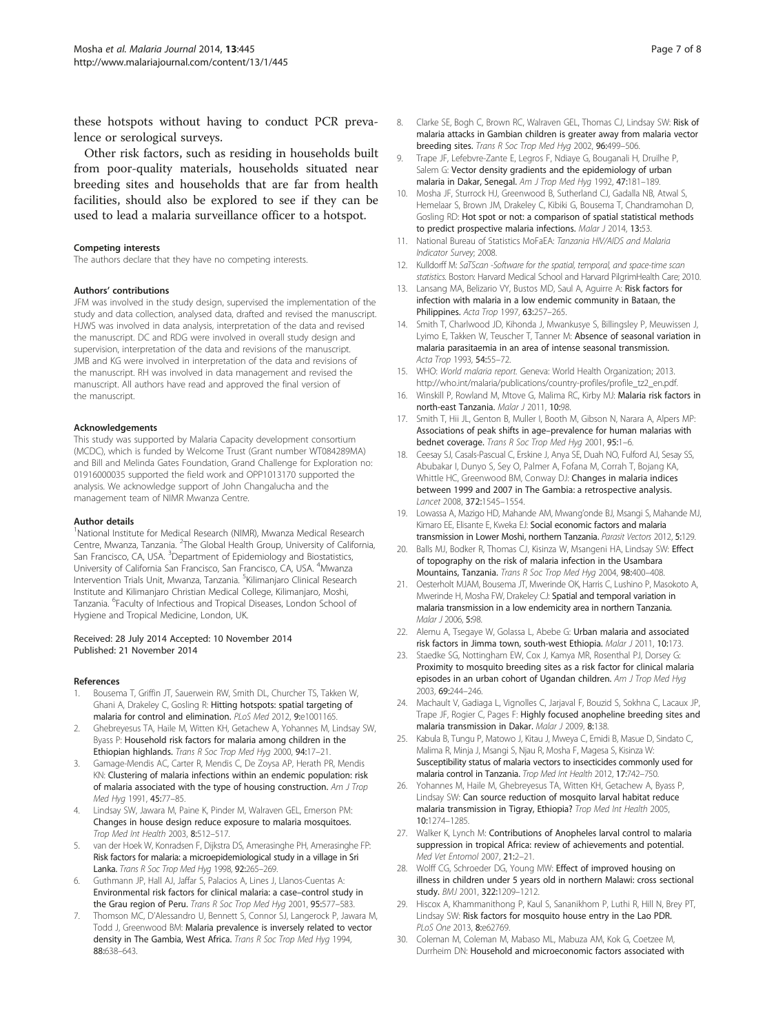<span id="page-6-0"></span>these hotspots without having to conduct PCR prevalence or serological surveys.

Other risk factors, such as residing in households built from poor-quality materials, households situated near breeding sites and households that are far from health facilities, should also be explored to see if they can be used to lead a malaria surveillance officer to a hotspot.

#### Competing interests

The authors declare that they have no competing interests.

#### Authors' contributions

JFM was involved in the study design, supervised the implementation of the study and data collection, analysed data, drafted and revised the manuscript. HJWS was involved in data analysis, interpretation of the data and revised the manuscript. DC and RDG were involved in overall study design and supervision, interpretation of the data and revisions of the manuscript. JMB and KG were involved in interpretation of the data and revisions of the manuscript. RH was involved in data management and revised the manuscript. All authors have read and approved the final version of the manuscript.

#### Acknowledgements

This study was supported by Malaria Capacity development consortium (MCDC), which is funded by Welcome Trust (Grant number WT084289MA) and Bill and Melinda Gates Foundation, Grand Challenge for Exploration no: 01916000035 supported the field work and OPP1013170 supported the analysis. We acknowledge support of John Changalucha and the management team of NIMR Mwanza Centre.

#### Author details

<sup>1</sup>National Institute for Medical Research (NIMR), Mwanza Medical Research Centre, Mwanza, Tanzania. <sup>2</sup>The Global Health Group, University of California, San Francisco, CA, USA. <sup>3</sup>Department of Epidemiology and Biostatistics, University of California San Francisco, San Francisco, CA, USA. <sup>4</sup>Mwanza Intervention Trials Unit, Mwanza, Tanzania. <sup>5</sup>Kilimanjaro Clinical Research Institute and Kilimanjaro Christian Medical College, Kilimanjaro, Moshi, Tanzania. <sup>6</sup> Faculty of Infectious and Tropical Diseases, London School of Hygiene and Tropical Medicine, London, UK.

#### Received: 28 July 2014 Accepted: 10 November 2014 Published: 21 November 2014

#### References

- 1. Bousema T, Griffin JT, Sauerwein RW, Smith DL, Churcher TS, Takken W, Ghani A, Drakeley C, Gosling R: Hitting hotspots: spatial targeting of malaria for control and elimination. PLoS Med 2012, 9:e1001165.
- 2. Ghebreyesus TA, Haile M, Witten KH, Getachew A, Yohannes M, Lindsay SW, Byass P: Household risk factors for malaria among children in the Ethiopian highlands. Trans R Soc Trop Med Hyg 2000, 94:17–21.
- Gamage-Mendis AC, Carter R, Mendis C, De Zoysa AP, Herath PR, Mendis KN: Clustering of malaria infections within an endemic population: risk of malaria associated with the type of housing construction. Am J Trop Med Hyg 1991, 45:77–85.
- 4. Lindsay SW, Jawara M, Paine K, Pinder M, Walraven GEL, Emerson PM: Changes in house design reduce exposure to malaria mosquitoes. Trop Med Int Health 2003, 8:512–517.
- 5. van der Hoek W, Konradsen F, Dijkstra DS, Amerasinghe PH, Amerasinghe FP: Risk factors for malaria: a microepidemiological study in a village in Sri Lanka. Trans R Soc Trop Med Hyg 1998, 92:265-269.
- 6. Guthmann JP, Hall AJ, Jaffar S, Palacios A, Lines J, Llanos-Cuentas A: Environmental risk factors for clinical malaria: a case–control study in the Grau region of Peru. Trans R Soc Trop Med Hyg 2001, 95:577-583.
- Thomson MC, D'Alessandro U, Bennett S, Connor SJ, Langerock P, Jawara M, Todd J, Greenwood BM: Malaria prevalence is inversely related to vector density in The Gambia, West Africa. Trans R Soc Trop Med Hyg 1994, 88:638–643.
- 8. Clarke SE, Bogh C, Brown RC, Walraven GEL, Thomas CJ, Lindsay SW: Risk of malaria attacks in Gambian children is greater away from malaria vector breeding sites. Trans R Soc Trop Med Hyg 2002, 96:499–506.
- 9. Trape JF, Lefebvre-Zante E, Legros F, Ndiaye G, Bouganali H, Druilhe P, Salem G: Vector density gradients and the epidemiology of urban malaria in Dakar, Senegal. Am J Trop Med Hyg 1992, 47:181–189.
- 10. Mosha JF, Sturrock HJ, Greenwood B, Sutherland CJ, Gadalla NB, Atwal S, Hemelaar S, Brown JM, Drakeley C, Kibiki G, Bousema T, Chandramohan D, Gosling RD: Hot spot or not: a comparison of spatial statistical methods to predict prospective malaria infections. Malar J 2014, 13:53.
- 11. National Bureau of Statistics MoFaEA: Tanzania HIV/AIDS and Malaria Indicator Survey; 2008.
- 12. Kulldorff M: SaTScan -Software for the spatial, temporal, and space-time scan statistics. Boston: Harvard Medical School and Harvard PilgrimHealth Care; 2010.
- 13. Lansang MA, Belizario VY, Bustos MD, Saul A, Aguirre A: Risk factors for infection with malaria in a low endemic community in Bataan, the Philippines. Acta Trop 1997, 63:257–265.
- 14. Smith T, Charlwood JD, Kihonda J, Mwankusye S, Billingsley P, Meuwissen J, Lyimo E, Takken W, Teuscher T, Tanner M: Absence of seasonal variation in malaria parasitaemia in an area of intense seasonal transmission. Acta Trop 1993, 54:55–72.
- 15. WHO: World malaria report. Geneva: World Health Organization; 2013. [http://who.int/malaria/publications/country-profiles/profile\\_tz2\\_en.pdf.](http://who.int/malaria/publications/country-profiles/profile_tz2_en.pdf)
- 16. Winskill P, Rowland M, Mtove G, Malima RC, Kirby MJ: Malaria risk factors in north-east Tanzania. Malar J 2011, 10:98.
- 17. Smith T, Hii JL, Genton B, Muller I, Booth M, Gibson N, Narara A, Alpers MP: Associations of peak shifts in age–prevalence for human malarias with bednet coverage. Trans R Soc Trop Med Hyg 2001, 95:1–6.
- 18. Ceesay SJ, Casals-Pascual C, Erskine J, Anya SE, Duah NO, Fulford AJ, Sesay SS, Abubakar I, Dunyo S, Sey O, Palmer A, Fofana M, Corrah T, Bojang KA, Whittle HC, Greenwood BM, Conway DJ: Changes in malaria indices between 1999 and 2007 in The Gambia: a retrospective analysis. Lancet 2008, 372:1545–1554.
- 19. Lowassa A, Mazigo HD, Mahande AM, Mwang'onde BJ, Msangi S, Mahande MJ, Kimaro EE, Elisante E, Kweka EJ: Social economic factors and malaria transmission in Lower Moshi, northern Tanzania. Parasit Vectors 2012, 5:129.
- 20. Balls MJ, Bodker R, Thomas CJ, Kisinza W, Msangeni HA, Lindsay SW: Effect of topography on the risk of malaria infection in the Usambara Mountains, Tanzania. Trans R Soc Trop Med Hyg 2004, 98:400–408.
- 21. Oesterholt MJAM, Bousema JT, Mwerinde OK, Harris C, Lushino P, Masokoto A, Mwerinde H, Mosha FW, Drakeley CJ: Spatial and temporal variation in malaria transmission in a low endemicity area in northern Tanzania. Malar J 2006, 5:98.
- 22. Alemu A, Tsegaye W, Golassa L, Abebe G: Urban malaria and associated risk factors in Jimma town, south-west Ethiopia. Malar J 2011, 10:173.
- 23. Staedke SG, Nottingham EW, Cox J, Kamya MR, Rosenthal PJ, Dorsey G: Proximity to mosquito breeding sites as a risk factor for clinical malaria episodes in an urban cohort of Ugandan children. Am J Trop Med Hyg 2003, 69:244–246.
- 24. Machault V, Gadiaga L, Vignolles C, Jarjaval F, Bouzid S, Sokhna C, Lacaux JP, Trape JF, Rogier C, Pages F: Highly focused anopheline breeding sites and malaria transmission in Dakar. Malar J 2009, 8:138.
- 25. Kabula B, Tungu P, Matowo J, Kitau J, Mweya C, Emidi B, Masue D, Sindato C, Malima R, Minja J, Msangi S, Njau R, Mosha F, Magesa S, Kisinza W: Susceptibility status of malaria vectors to insecticides commonly used for malaria control in Tanzania. Trop Med Int Health 2012, 17:742–750.
- Yohannes M, Haile M, Ghebreyesus TA, Witten KH, Getachew A, Byass P, Lindsay SW: Can source reduction of mosquito larval habitat reduce malaria transmission in Tigray, Ethiopia? Trop Med Int Health 2005, 10:1274–1285.
- 27. Walker K, Lynch M: Contributions of Anopheles larval control to malaria suppression in tropical Africa: review of achievements and potential. Med Vet Entomol 2007, 21:2–21.
- 28. Wolff CG, Schroeder DG, Young MW: Effect of improved housing on illness in children under 5 years old in northern Malawi: cross sectional study. BMJ 2001, 322:1209–1212.
- 29. Hiscox A, Khammanithong P, Kaul S, Sananikhom P, Luthi R, Hill N, Brey PT, Lindsay SW: Risk factors for mosquito house entry in the Lao PDR. PLoS One 2013, 8:e62769.
- 30. Coleman M, Coleman M, Mabaso ML, Mabuza AM, Kok G, Coetzee M, Durrheim DN: Household and microeconomic factors associated with